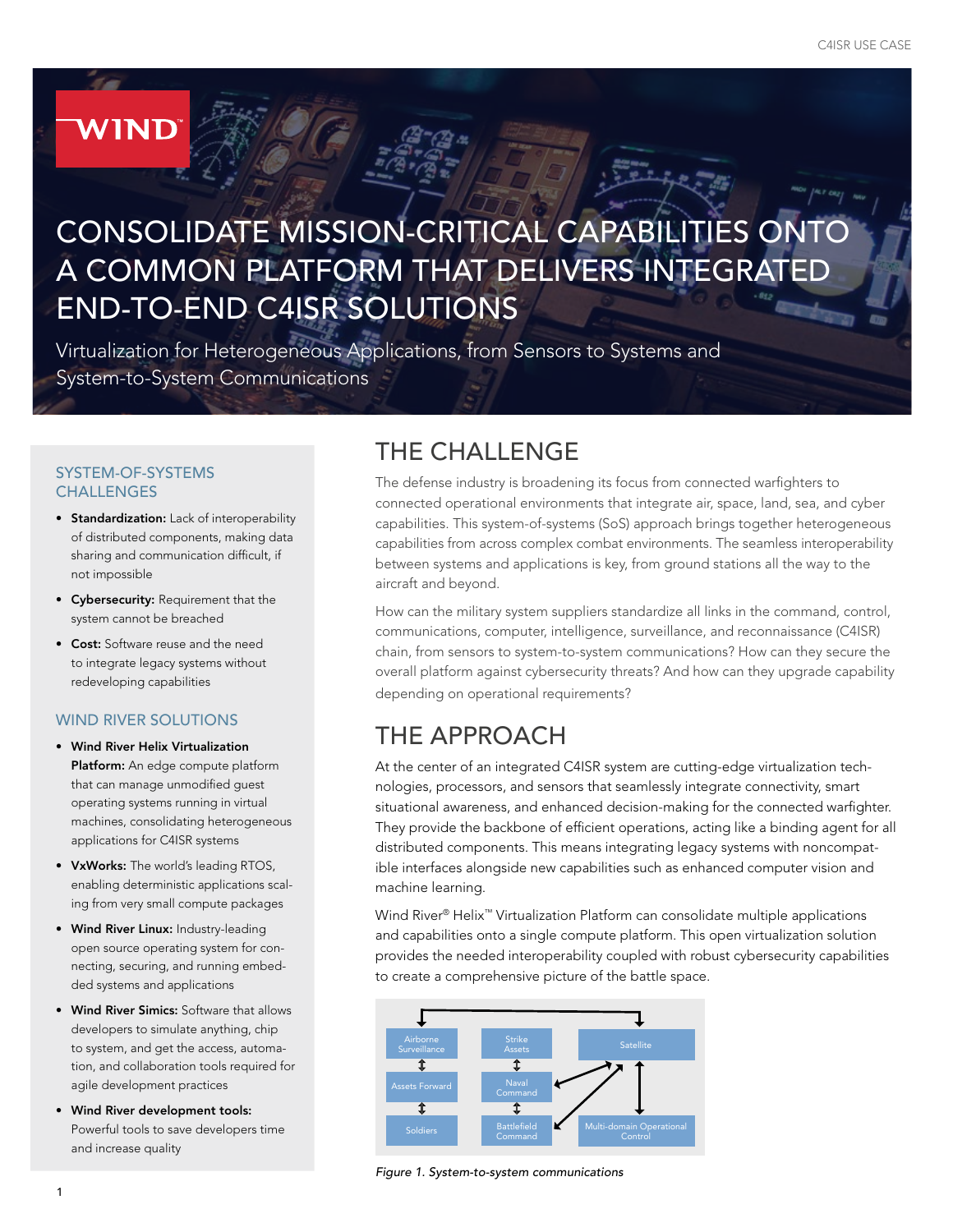# CONSOLIDATE MISSION-CRITICAL CAPABILITIES ONTO A COMMON PLATFORM THAT DELIVERS INTEGRATED END-TO-END C4ISR SOLUTIONS

Virtualization for Heterogeneous Applications, from Sensors to Systems and System-to-System Communications

#### SYSTEM-OF-SYSTEMS **CHALLENGES**

**WIND** 

- Standardization: Lack of interoperability of distributed components, making data sharing and communication difficult, if not impossible
- Cybersecurity: Requirement that the system cannot be breached
- Cost: Software reuse and the need to integrate legacy systems without redeveloping capabilities

#### WIND RIVER SOLUTIONS

- Wind River Helix Virtualization Platform: An edge compute platform that can manage unmodified guest operating systems running in virtual machines, consolidating heterogeneous applications for C4ISR systems
- VxWorks: The world's leading RTOS, enabling deterministic applications scaling from very small compute packages
- Wind River Linux: Industry-leading open source operating system for connecting, securing, and running embedded systems and applications
- Wind River Simics: Software that allows developers to simulate anything, chip to system, and get the access, automation, and collaboration tools required for agile development practices
- Wind River development tools: Powerful tools to save developers time and increase quality

# THE CHALLENGE

The defense industry is broadening its focus from connected warfighters to connected operational environments that integrate air, space, land, sea, and cyber capabilities. This system-of-systems (SoS) approach brings together heterogeneous capabilities from across complex combat environments. The seamless interoperability between systems and applications is key, from ground stations all the way to the aircraft and beyond.

How can the military system suppliers standardize all links in the command, control, communications, computer, intelligence, surveillance, and reconnaissance (C4ISR) chain, from sensors to system-to-system communications? How can they secure the overall platform against cybersecurity threats? And how can they upgrade capability depending on operational requirements?

# THE APPROACH

At the center of an integrated C4ISR system are cutting-edge virtualization technologies, processors, and sensors that seamlessly integrate connectivity, smart situational awareness, and enhanced decision-making for the connected warfighter. They provide the backbone of efficient operations, acting like a binding agent for all distributed components. This means integrating legacy systems with noncompatible interfaces alongside new capabilities such as enhanced computer vision and machine learning.

Wind River® Helix™ Virtualization Platform can consolidate multiple applications and capabilities onto a single compute platform. This open virtualization solution provides the needed interoperability coupled with robust cybersecurity capabilities to create a comprehensive picture of the battle space.



*Figure 1. System-to-system communications*